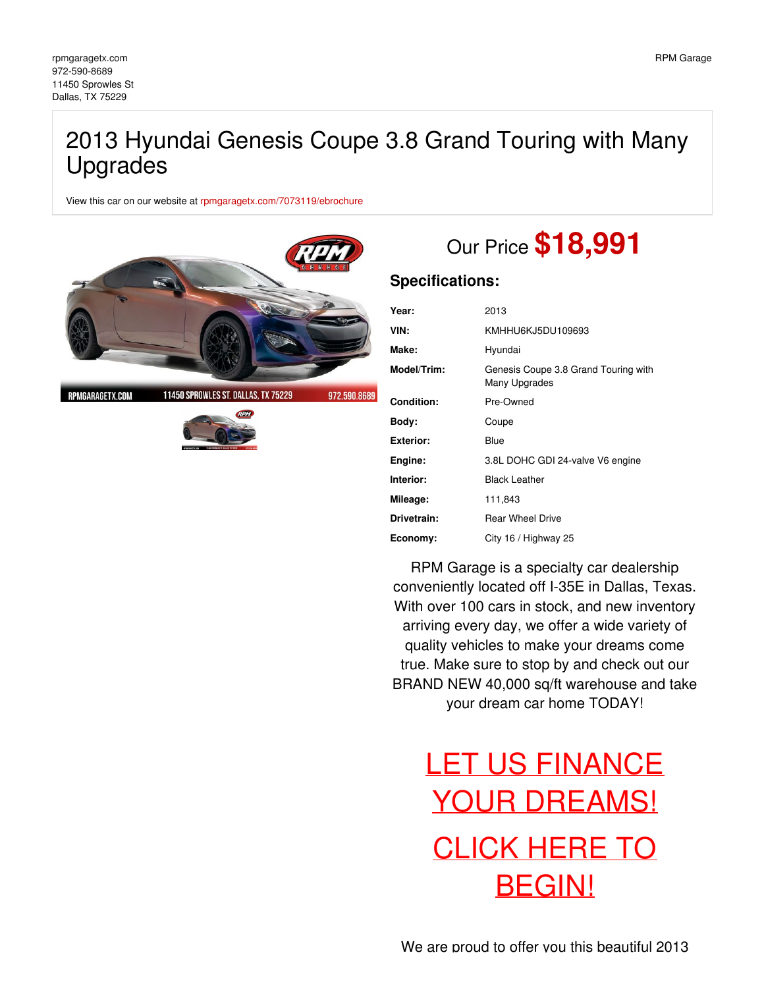## 2013 Hyundai Genesis Coupe 3.8 Grand Touring with Many Upgrades

View this car on our website at [rpmgaragetx.com/7073119/ebrochure](https://rpmgaragetx.com/vehicle/7073119/2013-hyundai-genesis-coupe-3-8-grand-touring-with-many-upgrades-dallas-tx-75229/7073119/ebrochure)



RPMGARAGETX.COM

11450 SPROWLES ST. DALLAS, TX 75229 972.590.8689



# Our Price **\$18,991**

### **Specifications:**

| Year:             | 2013                                                  |
|-------------------|-------------------------------------------------------|
| VIN:              | KMHHU6KJ5DU109693                                     |
| Make:             | Hyundai                                               |
| Model/Trim:       | Genesis Coupe 3.8 Grand Touring with<br>Many Upgrades |
| <b>Condition:</b> | Pre-Owned                                             |
| Body:             | Coupe                                                 |
| <b>Exterior:</b>  | Blue                                                  |
| Engine:           | 3.8L DOHC GDI 24-valve V6 engine                      |
| Interior:         | <b>Black Leather</b>                                  |
| Mileage:          | 111,843                                               |
| Drivetrain:       | <b>Rear Wheel Drive</b>                               |
| Economy:          | City 16 / Highway 25                                  |

RPM Garage is a specialty car dealership conveniently located off I-35E in Dallas, Texas. With over 100 cars in stock, and new inventory arriving every day, we offer a wide variety of quality vehicles to make your dreams come true. Make sure to stop by and check out our BRAND NEW 40,000 sq/ft warehouse and take your dream car home TODAY!

# LET US FINANCE YOUR [DREAMS!](https://rpmgaragetx.com/financing) CLICK HERE TO [BEGIN!](https://rpmgaragetx.com/financing)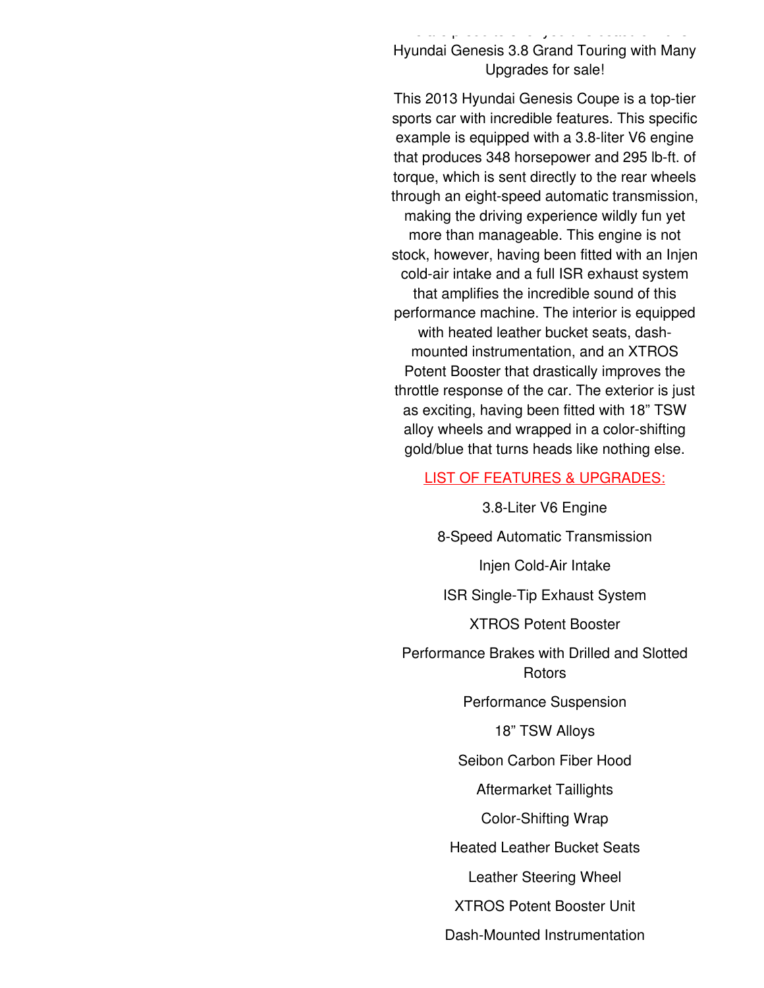Hyundai Genesis 3.8 Grand Touring with Many Upgrades for sale!

We are proud to offer you this beautiful 2013

This 2013 Hyundai Genesis Coupe is a top-tier sports car with incredible features. This specific example is equipped with a 3.8-liter V6 engine that produces 348 horsepower and 295 lb-ft. of torque, which is sent directly to the rear wheels through an eight-speed automatic transmission, making the driving experience wildly fun yet more than manageable. This engine is not stock, however, having been fitted with an Injen cold-air intake and a full ISR exhaust system that amplifies the incredible sound of this performance machine. The interior is equipped with heated leather bucket seats, dashmounted instrumentation, and an XTROS Potent Booster that drastically improves the throttle response of the car. The exterior is just as exciting, having been fitted with 18" TSW alloy wheels and wrapped in a color-shifting gold/blue that turns heads like nothing else.

### LIST OF FEATURES & UPGRADES:

3.8-Liter V6 Engine

8-Speed Automatic Transmission

Injen Cold-Air Intake

ISR Single-Tip Exhaust System

XTROS Potent Booster

Performance Brakes with Drilled and Slotted Rotors

Performance Suspension

18" TSW Alloys

Seibon Carbon Fiber Hood

Aftermarket Taillights

Color-Shifting Wrap

Heated Leather Bucket Seats

Leather Steering Wheel

XTROS Potent Booster Unit

Dash-Mounted Instrumentation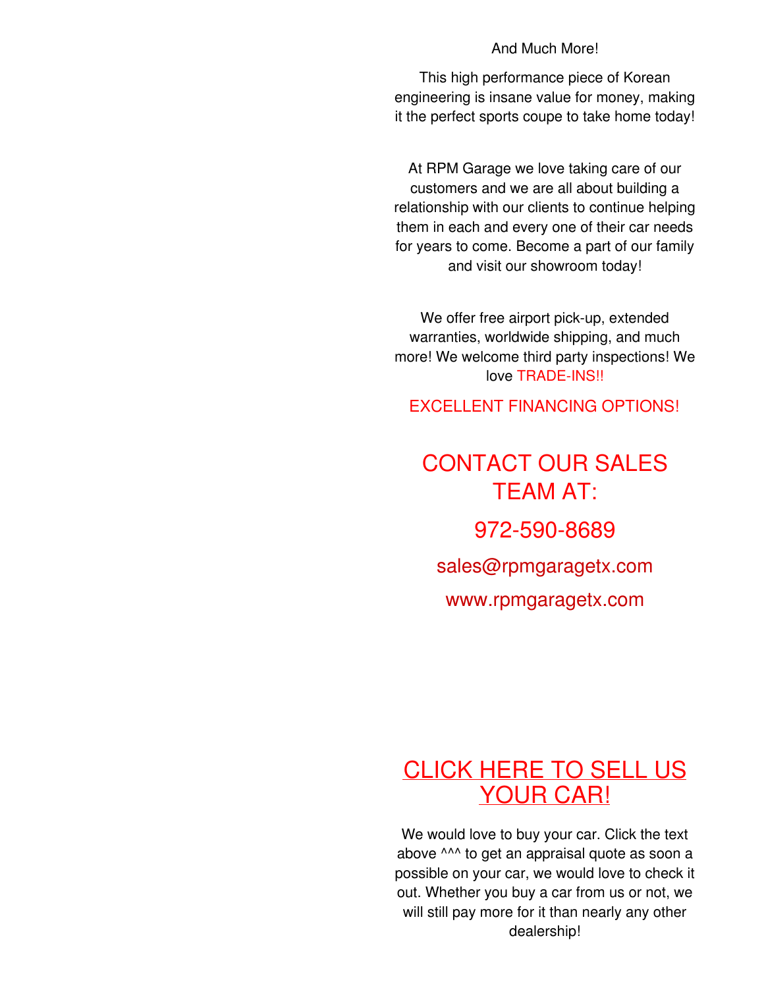### And Much More!

This high performance piece of Korean engineering is insane value for money, making it the perfect sports coupe to take home today!

At RPM Garage we love taking care of our customers and we are all about building a relationship with our clients to continue helping them in each and every one of their car needs for years to come. Become a part of our family and visit our showroom today!

We offer free airport pick-up, extended warranties, worldwide shipping, and much more! We welcome third party inspections! We love TRADE-INS!!

**EXCELLENT FINANCING OPTIONS!** 

# CONTACT OUR SALES TEAM AT: 972-590-8689 [sales@rpmgaragetx.com](mailto:sales@rpmgaragetx.com) [www.rpmgaragetx.com](http://www.rpmgaragetx.com)

## [CLICK](https://rpmgaragetx.com/sell-us-your-car) HERE TO SELL US YOUR CAR!

We would love to buy your car. Click the text above ^^^ to get an appraisal quote as soon a possible on your car, we would love to check it out. Whether you buy a car from us or not, we will still pay more for it than nearly any other dealership!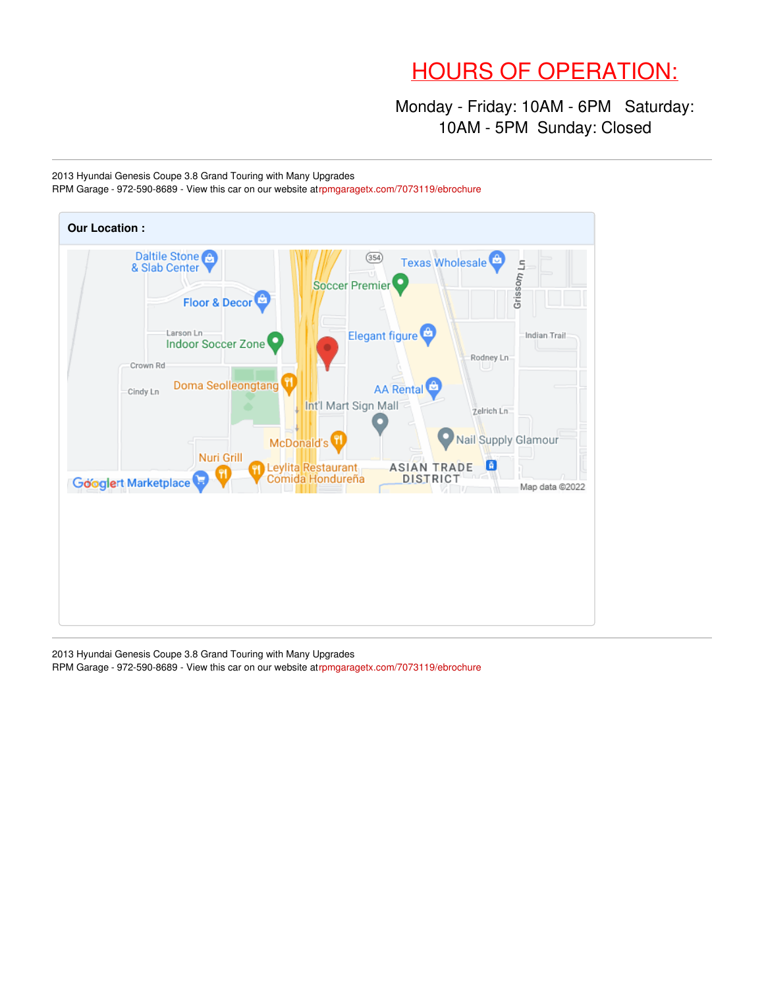## HOURS OF OPERATION:

Monday - Friday: 10AM - 6PM Saturday: 10AM - 5PM Sunday: Closed

2013 Hyundai Genesis Coupe 3.8 Grand Touring with Many Upgrades RPM Garage - 972-590-8689 - View this car on our website a[trpmgaragetx.com/7073119/ebrochure](https://rpmgaragetx.com/vehicle/7073119/2013-hyundai-genesis-coupe-3-8-grand-touring-with-many-upgrades-dallas-tx-75229/7073119/ebrochure)



2013 Hyundai Genesis Coupe 3.8 Grand Touring with Many Upgrades RPM Garage - 972-590-8689 - View this car on our website a[trpmgaragetx.com/7073119/ebrochure](https://rpmgaragetx.com/vehicle/7073119/2013-hyundai-genesis-coupe-3-8-grand-touring-with-many-upgrades-dallas-tx-75229/7073119/ebrochure)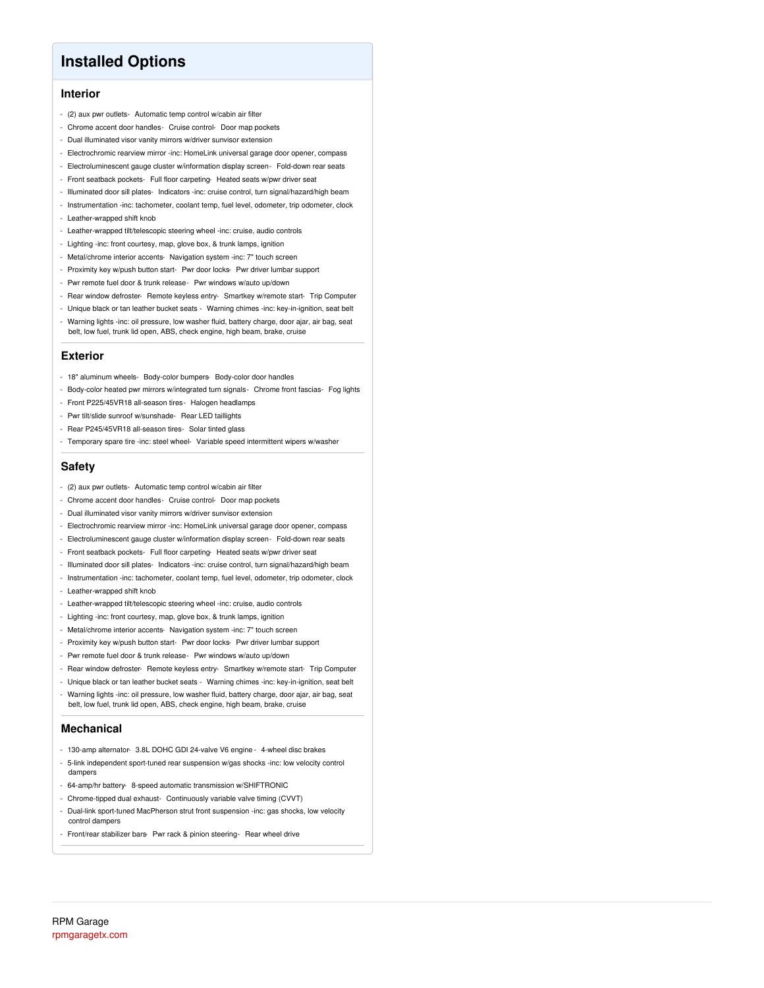### **Installed Options**

### **Interior**

- (2) aux pwr outlets- Automatic temp control w/cabin air filter
- Chrome accent door handles- Cruise control- Door map pockets
- Dual illuminated visor vanity mirrors w/driver sunvisor extension
- Electrochromic rearview mirror -inc: HomeLink universal garage door opener, compass
- Electroluminescent gauge cluster w/information display screen- Fold-down rear seats
- Front seatback pockets- Full floor carpeting- Heated seats w/pwr driver seat
- Illuminated door sill plates- Indicators -inc: cruise control, turn signal/hazard/high beam
- Instrumentation -inc: tachometer, coolant temp, fuel level, odometer, trip odometer, clock - Leather-wrapped shift knob
- Leather-wrapped tilt/telescopic steering wheel -inc: cruise, audio controls
- Lighting -inc: front courtesy, map, glove box, & trunk lamps, ignition
- Metal/chrome interior accents- Navigation system -inc: 7" touch screen
- Proximity key w/push button start- Pwr door locks- Pwr driver lumbar support
- Pwr remote fuel door & trunk release- Pwr windows w/auto up/down
- Rear window defroster- Remote keyless entry- Smartkey w/remote start- Trip Computer
- Unique black or tan leather bucket seats Warning chimes -inc: key-in-ignition, seat belt
- Warning lights -inc: oil pressure, low washer fluid, battery charge, door ajar, air bag, seat belt, low fuel, trunk lid open, ABS, check engine, high beam, brake, cruise

#### **Exterior**

- 18" aluminum wheels- Body-color bumpers- Body-color door handles
- Body-color heated pwr mirrors w/integrated turn signals- Chrome front fascias- Fog lights
- Front P225/45VR18 all-season tires- Halogen headlamps
- Pwr tilt/slide sunroof w/sunshade- Rear LED taillights
- Rear P245/45VR18 all-season tires- Solar tinted glass
- Temporary spare tire -inc: steel wheel- Variable speed intermittent wipers w/washer

#### **Safety**

- (2) aux pwr outlets- Automatic temp control w/cabin air filter
- Chrome accent door handles- Cruise control- Door map pockets
- Dual illuminated visor vanity mirrors w/driver sunvisor extension
- Electrochromic rearview mirror -inc: HomeLink universal garage door opener, compass
- Electroluminescent gauge cluster w/information display screen- Fold-down rear seats
- Front seatback pockets- Full floor carpeting- Heated seats w/pwr driver seat
- Illuminated door sill plates- Indicators -inc: cruise control, turn signal/hazard/high beam
- Instrumentation -inc: tachometer, coolant temp, fuel level, odometer, trip odometer, clock
- Leather-wrapped shift knob
- Leather-wrapped tilt/telescopic steering wheel -inc: cruise, audio controls
- Lighting -inc: front courtesy, map, glove box, & trunk lamps, ignition
- Metal/chrome interior accents- Navigation system -inc: 7" touch screen
- Proximity key w/push button start- Pwr door locks- Pwr driver lumbar support
- Pwr remote fuel door & trunk release- Pwr windows w/auto up/down
- Rear window defroster- Remote keyless entry- Smartkey w/remote start- Trip Computer
- Unique black or tan leather bucket seats Warning chimes -inc: key-in-ignition, seat belt
- Warning lights -inc: oil pressure, low washer fluid, battery charge, door ajar, air bag, seat belt, low fuel, trunk lid open, ABS, check engine, high beam, brake, cruise

#### **Mechanical**

- 130-amp alternator- 3.8L DOHC GDI 24-valve V6 engine 4-wheel disc brakes
- 5-link independent sport-tuned rear suspension w/gas shocks -inc: low velocity control dampers
- 64-amp/hr battery- 8-speed automatic transmission w/SHIFTRONIC
- Chrome-tipped dual exhaust- Continuously variable valve timing (CVVT)
- Dual-link sport-tuned MacPherson strut front suspension -inc: gas shocks, low velocity control dampers
- Front/rear stabilizer bars- Pwr rack & pinion steering- Rear wheel drive